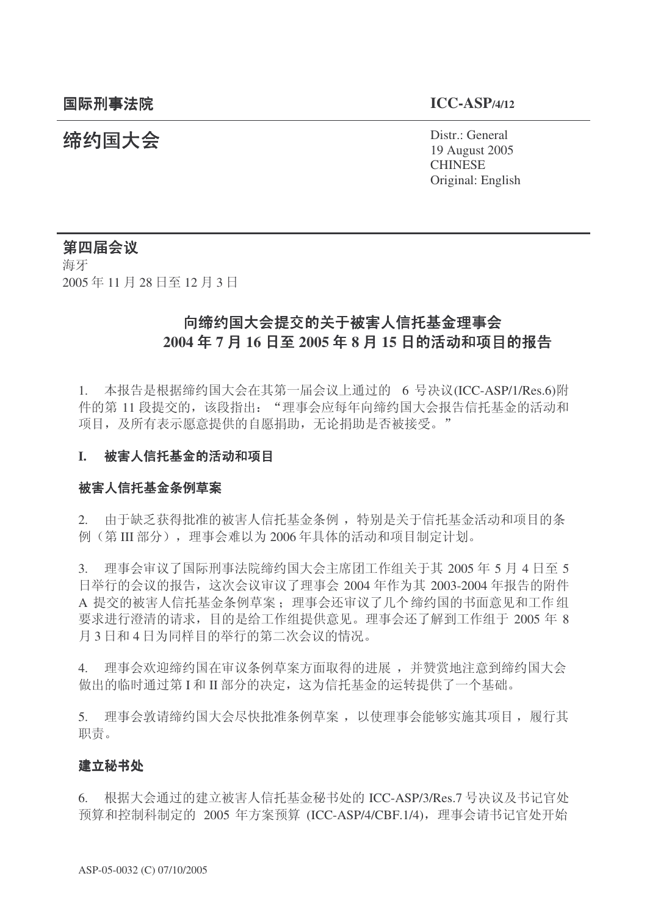结约国大会 Pistr.: General 19 August 2005 **CHINESE** Original: English

# 第四届会议

海牙 2005年11月28日至12月3日

# 向缔约国大会提交的关于被害人信托基金理事会 2004年7月16日至2005年8月15日的活动和项目的报告

1. 本报告是根据缔约国大会在其第一届会议上通过的 6 号决议(ICC-ASP/1/Res.6)附 件的第11 段提交的,该段指出:"理事会应每年向缔约国大会报告信托基金的活动和 项目, 及所有表示愿意提供的自愿捐助, 无论捐助是否被接受。"

# I. 被害人信托基金的活动和项目

## 被害人信托基金条例草案

2. 由于缺乏获得批准的被害人信托基金条例, 特别是关于信托基金活动和项目的条 例(第III 部分), 理事会难以为 2006年具体的活动和项目制定计划。

3. 理事会审议了国际刑事法院缔约国大会主席团工作组关于其 2005 年 5 月 4 日至 5 日举行的会议的报告, 这次会议审议了理事会 2004 年作为其 2003-2004 年报告的附件 A 提交的被害人信托基金条例草案: 理事会还审议了几个缔约国的书面意见和工作组 要求进行澄清的请求,目的是给工作组提供意见。理事会还了解到工作组于 2005 年 8 月3日和4日为同样目的举行的第二次会议的情况。

4. 理事会欢迎缔约国在审议条例草案方面取得的进展, 并赞赏地注意到缔约国大会 做出的临时通过第Ⅰ和Ⅱ部分的决定, 这为信托基金的运转提供了一个基础。

5. 理事会敦请缔约国大会尽快批准条例草案, 以使理事会能够实施其项目, 履行其 职责。

### 建立秘书处

6. 根据大会通过的建立被害人信托基金秘书处的 ICC-ASP/3/Res.7 号决议及书记官处 预算和控制科制定的 2005 年方案预算 (ICC-ASP/4/CBF.1/4), 理事会请书记官处开始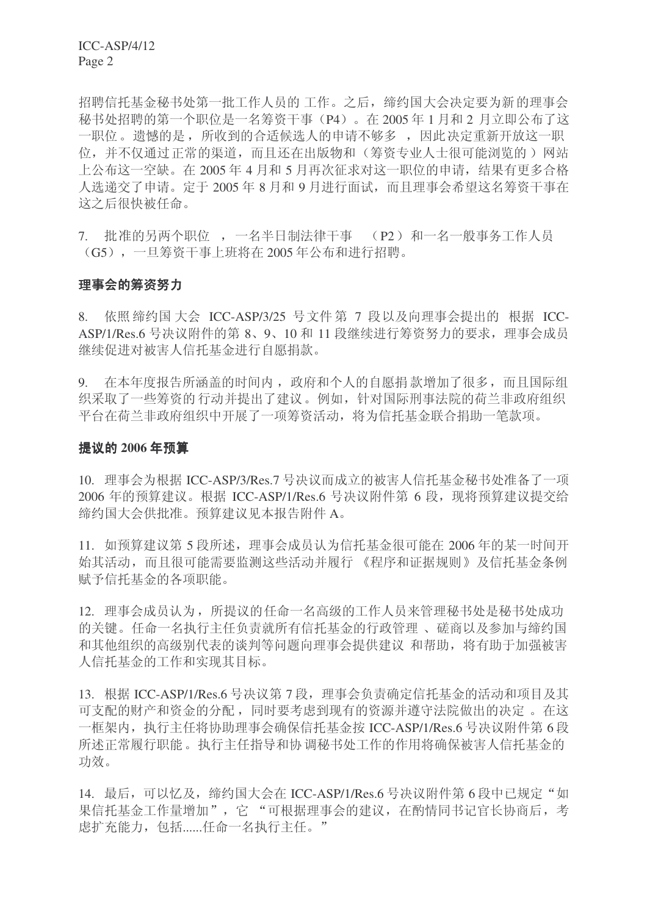招聘信托基金秘书处第一批工作人员的工作。之后, 缔约国大会决定要为新的理事会 秘书处招聘的第一个职位是一名筹资于事(P4)。在2005年1月和2月立即公布了这 一职位。遗憾的是, 所收到的合适候选人的申请不够多, 因此决定重新开放这一职 位,并不仅通过正常的渠道,而且还在出版物和(筹资专业人士很可能浏览的)网站 上公布这一空缺。在2005年4月和5月再次征求对这一职位的申请, 结果有更多合格 人选递交了申请。定于2005年8月和9月进行面试,而且理事会希望这名筹资干事在 这之后很快被任命。

7. 批准的另两个职位, 一名半日制法律干事 (P2)和一名一般事务工作人员 (G5), 一旦筹资于事上班将在 2005年公布和讲行招聘。

#### 理事会的筹资努力

 $8.$  依照 缔约国 大会 ICC-ASP/3/25 号文件第 7 段以及向理事会提出的 根据 ICC-ASP/1/Res.6 号决议附件的第 8、9、10 和 11 段继续进行筹资努力的要求, 理事会成员 继续促进对被害人信托基金进行自愿捐款。

9. 在本年度报告所涵盖的时间内, 政府和个人的自愿捐款增加了很多, 而且国际组 织采取了一些筹资的行动并提出了建议。例如,针对国际刑事法院的荷兰非政府组织 平台在荷兰非政府组织中开展了一项筹资活动, 将为信托基金联合捐助一笔款项。

#### 提议的 2006 年预算

10. 理事会为根据 ICC-ASP/3/Res.7 号决议而成立的被害人信托基金秘书处准备了一项 2006 年的预算建议。根据 ICC-ASP/1/Res.6 号决议附件第 6 段, 现将预算建议提交给 缔约国大会供批准。预算建议见本报告附件A。

11. 如预算建议第5段所述, 理事会成员认为信托基金很可能在 2006年的某一时间开 始其活动,而且很可能需要监测这些活动并履行《程序和证据规则》及信托基金条例 赋予信托基金的各项职能。

12. 理事会成员认为, 所提议的任命一名高级的工作人员来管理秘书处是秘书处成功 的关键。任命一名执行主任负责就所有信托基金的行政管理、磋商以及参加与缔约国 和其他组织的高级别代表的谈判等问题向理事会提供建议和帮助,将有助于加强被害 人信托基金的工作和实现其目标。

13. 根据 ICC-ASP/1/Res.6 号决议第 7 段, 理事会负责确定信托基金的活动和项目及其 可支配的财产和资金的分配,同时要考虑到现有的资源并遵守法院做出的决定。在这 一框架内, 执行主任将协助理事会确保信托基金按 ICC-ASP/1/Res.6 号决议附件第 6 段 所述正常履行职能。执行主任指导和协调秘书处工作的作用将确保被害人信托基金的 功效。

14. 最后, 可以忆及, 缔约国大会在 ICC-ASP/1/Res.6 号决议附件第 6 段中已规定"如 果信托基金工作量增加", 它 "可根据理事会的建议, 在酌情同书记官长协商后, 考 虑扩充能力, 包括......任命一名执行主任。"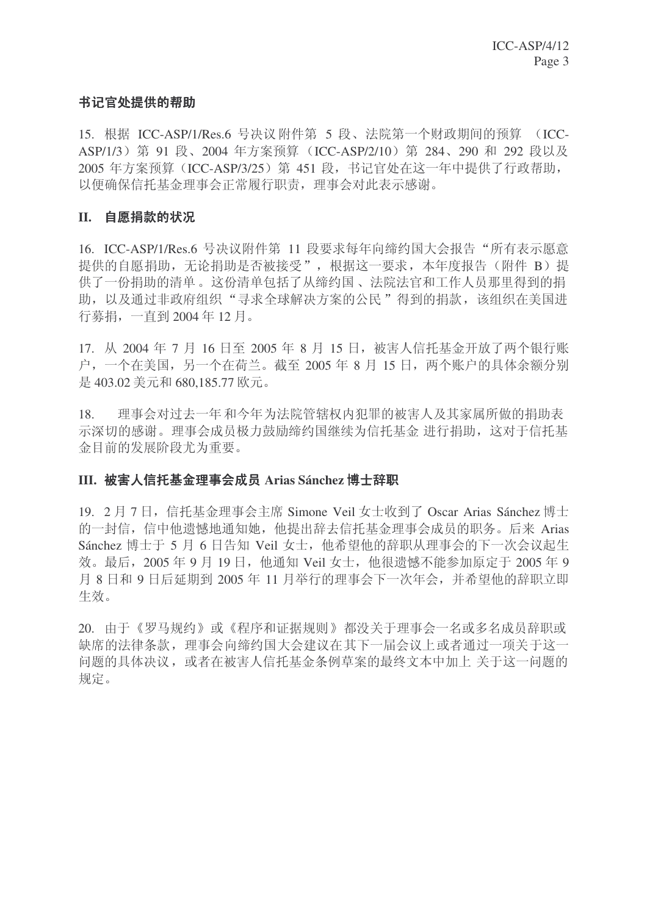# 书记官处提供的帮助

15. 根据 ICC-ASP/1/Res.6 号决议附件第 5 段、法院第一个财政期间的预算 (ICC-ASP/1/3) 第 91 段、2004 年方案预算 (ICC-ASP/2/10) 第 284、290 和 292 段以及 2005 年方案预算 (ICC-ASP/3/25) 第 451 段, 书记官处在这一年中提供了行政帮助, 以便确保信托基金理事会正常履行职责, 理事会对此表示感谢。

# II. 自愿捐款的状况

16. ICC-ASP/1/Res.6 号决议附件第 11 段要求每年向缔约国大会报告"所有表示愿意 提供的自愿捐助,无论捐助是否被接受",根据这一要求,本年度报告(附件 B)提 供了一份捐助的清单。这份清单包括了从缔约国、法院法官和工作人员那里得到的捐 助, 以及通过非政府组织"寻求全球解决方案的公民"得到的捐款, 该组织在美国进 行募捐, 一直到 2004年12月。

17. 从 2004年7月16日至 2005年8月15日, 被害人信托基金开放了两个银行账 户,一个在美国,另一个在荷兰。截至 2005年8月 15日,两个账户的具体余额分别 是 403.02 美元和 680,185.77 欧元。

18. 理事会对过去一年和今年为法院管辖权内犯罪的被害人及其家属所做的捐助表 示深切的感谢。理事会成员极力鼓励缔约国继续为信托基金 进行捐助, 这对于信托基 金目前的发展阶段尤为重要。

## **III.** 被害人信托基金理事会成员 Arias Sánchez 博士辞职

19. 2 月 7 日, 信托基金理事会主席 Simone Veil 女士收到了 Oscar Arias Sánchez 博士 的一封信, 信中他遗憾地通知她, 他提出辞去信托基金理事会成员的职务。后来 Arias Sánchez 博士于 5 月 6 日告知 Veil 女士, 他希望他的辞职从理事会的下一次会议起生 效。最后, 2005年 9 月 19 日, 他通知 Veil 女士, 他很遗憾不能参加原定于 2005 年 9 月 8 日和 9 日后延期到 2005 年 11 月举行的理事会下一次年会, 并希望他的辞职立即 生效。

20. 由于《罗马规约》或《程序和证据规则》都没关于理事会一名或多名成员辞职或 缺席的法律条款, 理事会向缔约国大会建议在其下一届会议上或者通过一项关于这一 问题的具体决议, 或者在被害人信托基金条例草案的最终文本中加上 关于这一问题的 规定。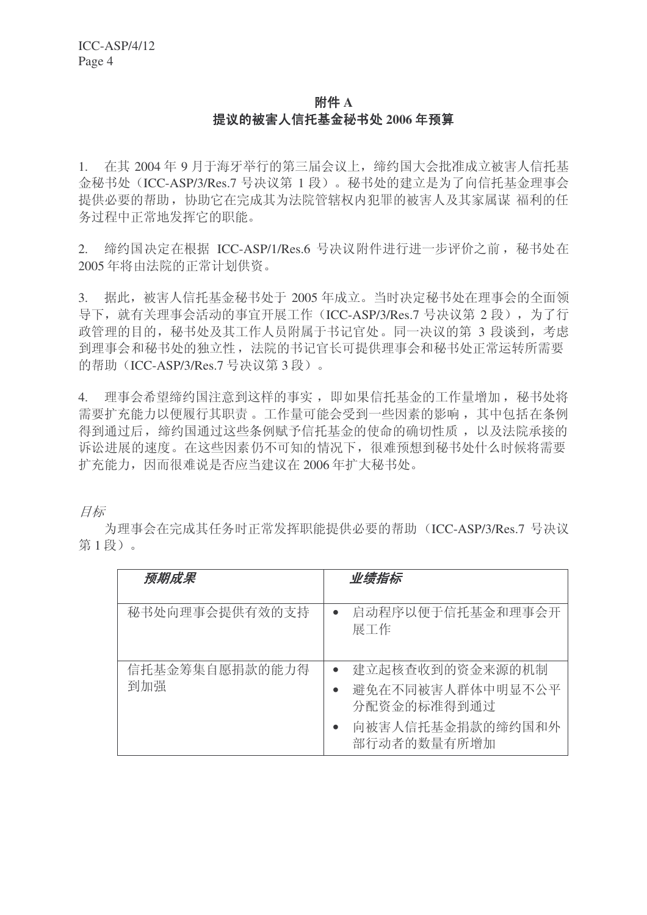# 附件 A 提议的被害人信托基金秘书处 2006 年预算

1. 在其 2004年9月于海牙举行的第三届会议上, 缔约国大会批准成立被害人信托基 金秘书处 (ICC-ASP/3/Res.7 号决议第 1 段)。秘书处的建立是为了向信托基金理事会 提供必要的帮助, 协助它在完成其为法院管辖权内犯罪的被害人及其家属谋 福利的任 务过程中正常地发挥它的职能。

2. 缔约国决定在根据 ICC-ASP/1/Res.6 号决议附件进行进一步评价之前, 秘书处在 2005年将由法院的正常计划供资。

3. 据此,被害人信托基金秘书处于 2005 年成立。当时决定秘书处在理事会的全面领 导下, 就有关理事会活动的事宜开展工作 (ICC-ASP/3/Res.7 号决议第 2 段), 为了行 政管理的目的, 秘书处及其工作人员附属于书记官处。同一决议的第3段谈到, 考虑 到理事会和秘书处的独立性, 法院的书记官长可提供理事会和秘书处正常运转所需要 的帮助(ICC-ASP/3/Res.7 号决议第3段)。

4. 理事会希望缔约国注意到这样的事实, 即如果信托基金的工作量增加, 秘书处将 需要扩充能力以便履行其职责。工作量可能会受到一些因素的影响, 其中包括在条例 得到通过后, 缔约国通过这些条例赋予信托基金的使命的确切性质, 以及法院承接的 诉讼讲展的速度。在这些因素仍不可知的情况下,很难预想到秘书处什么时候将需要 扩充能力,因而很难说是否应当建议在 2006年扩大秘书处。

目标

为理事会在完成其任务时正常发挥职能提供必要的帮助 (ICC-ASP/3/Res.7 号决议 第1段)。

| 预期成果           | 业绩指标                            |
|----------------|---------------------------------|
| 秘书处向理事会提供有效的支持 | 启动程序以便于信托基金和理事会开<br>展工作         |
| 信托基金筹集自愿捐款的能力得 | 建立起核查收到的资金来源的机制                 |
| 到加强            | 避免在不同被害人群体中明显不公平<br>分配资金的标准得到通过 |
|                | 向被害人信托基金捐款的缔约国和外<br>部行动者的数量有所增加 |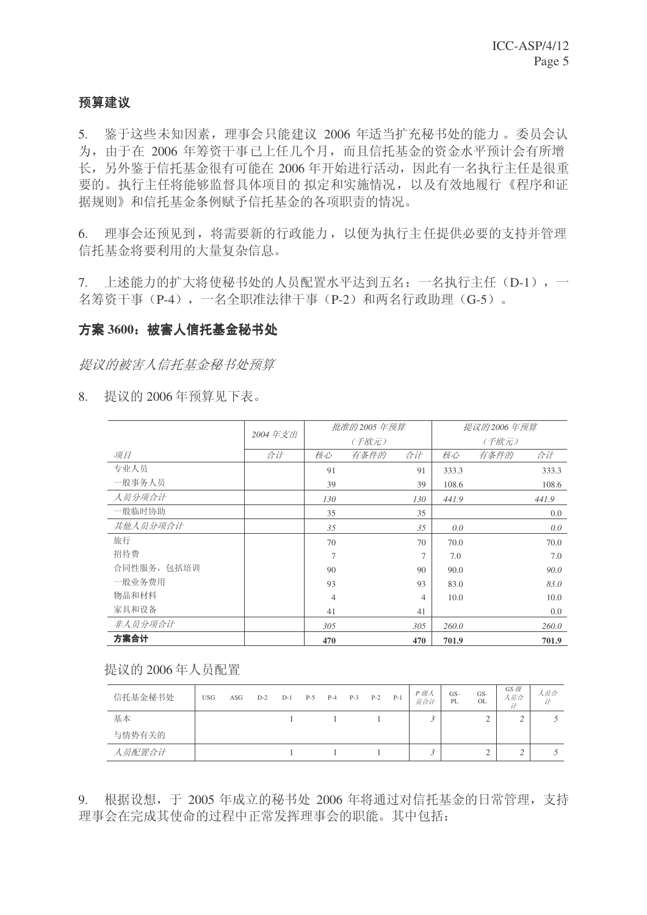### 预算建议

5. 鉴于这些未知因素, 理事会只能建议 2006 年适当扩充秘书处的能力。委员会认 为, 由于在 2006 年筹资于事已上任几个月, 而且信托基金的资金水平预计会有所增 长,另外鉴于信托基金很有可能在 2006年开始进行活动,因此有一名执行主任是很重 要的。执行主任将能够监督具体项目的 拟定和实施情况, 以及有效地履行《程序和证 据规则》和信托基金条例赋予信托基金的各项职责的情况。

6. 理事会还预见到, 将需要新的行政能力, 以便为执行主任提供必要的支持并管理 信托基金将要利用的大量复杂信息。

7. 上述能力的扩大将使秘书处的人员配置水平达到五名: 一名执行主任 (D-1), 一 名筹资干事(P-4), 一名全职准法律干事(P-2)和两名行政助理(G-5)。

### 方案 3600: 被害人信托基金秘书处

提议的被害人信托基金秘书处预算

8. 提议的 2006年预算见下表。

|             | 2004年支出 |                | 批准的 2005 年预算 |                | 提议的 2006 年预算 |      |       |       |  |
|-------------|---------|----------------|--------------|----------------|--------------|------|-------|-------|--|
|             |         | (千欧元)          |              |                |              |      |       | (千欧元) |  |
| 项目          | 合计      | 核心             | 有条件的         | 合计             | 核心           | 有条件的 | 合计    |       |  |
| 专业人员        |         | 91             |              | 91             | 333.3        |      | 333.3 |       |  |
| 一般事务人员      |         | 39             |              | 39             | 108.6        |      | 108.6 |       |  |
| 人员分项合计      |         | 130            |              | 130            | 441.9        |      | 441.9 |       |  |
| 一般临时协助      |         | 35             |              | 35             |              |      | 0.0   |       |  |
| 其他人员分项合计    |         | 35             |              | 35             | 0.0          |      | 0.0   |       |  |
| 旅行          |         | 70             |              | 70             | 70.0         |      | 70.0  |       |  |
| 招待费         |         | $\overline{7}$ |              | $\overline{7}$ | 7.0          |      | 7.0   |       |  |
| 合同性服务, 包括培训 |         | 90             |              | 90             | 90.0         |      | 90.0  |       |  |
| 一般业务费用      |         | 93             |              | 93             | 83.0         |      | 83.0  |       |  |
| 物品和材料       |         | $\overline{4}$ |              | 4              | 10.0         |      | 10.0  |       |  |
| 家具和设备       |         | 41             |              | 41             |              |      | 0.0   |       |  |
| 非人员分项合计     |         | 305            |              | 305            | 260.0        |      | 260.0 |       |  |
| 方案合计        |         | 470            |              | 470            | 701.9        |      | 701.9 |       |  |

提议的 2006年人员配置

| 信托基金秘书处 | <b>USG</b> | ASG | $D-2$ | $D-1$ | $P-5$ | $P-4$ | $P-3$ | $P-2$ | $P-1$ | P 级人<br>员合计 | $GS-$<br>PL | GS-<br><b>OL</b> | $GS \mathcal{B}$<br>人员合<br>ìt | 人员合<br>it |
|---------|------------|-----|-------|-------|-------|-------|-------|-------|-------|-------------|-------------|------------------|-------------------------------|-----------|
| 基本      |            |     |       |       |       |       |       |       |       |             |             |                  | ▵                             |           |
| 与情势有关的  |            |     |       |       |       |       |       |       |       |             |             |                  |                               |           |
| 人员配置合计  |            |     |       |       |       |       |       |       |       |             |             | ∼                | ∸                             |           |

9. 根据设想,于 2005 年成立的秘书处 2006 年将通过对信托基金的日常管理,支持 理事会在完成其使命的过程中正常发挥理事会的职能。其中包括: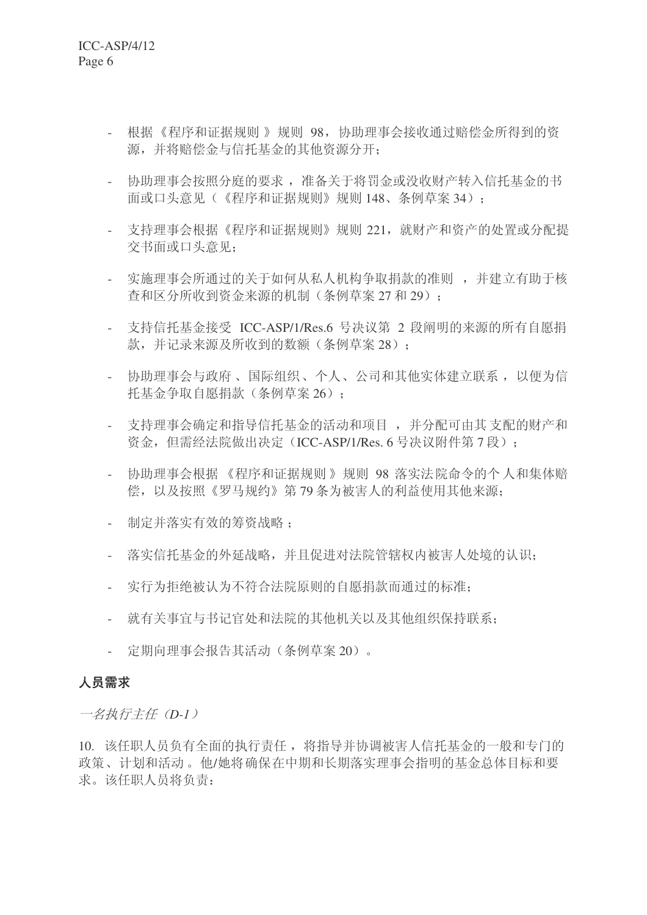- 根据《程序和证据规则 》规则 98, 协助理事会接收通过赔偿金所得到的资 源,并将赔偿金与信托基金的其他资源分开:
- 协助理事会按照分庭的要求, 准备关于将罚金或没收财产转入信托基金的书 面或口头意见(《程序和证据规则》规则148、条例草案 34):
- 支持理事会根据《程序和证据规则》规则 221, 就财产和资产的处置或分配提 交书面或口头意见:
- 实施理事会所通过的关于如何从私人机构争取捐款的准则,并建立有助于核 查和区分所收到资金来源的机制(条例草案 27 和 29):
- 支持信托基金接受 ICC-ASP/1/Res.6 号决议第 2 段阐明的来源的所有自愿捐 款,并记录来源及所收到的数额(条例草案28);
- 协助理事会与政府、国际组织、个人、公司和其他实体建立联系, 以便为信 托基金争取自愿捐款(条例草案 26):
- 支持理事会确定和指导信托基金的活动和项目,并分配可由其支配的财产和 资金, 但需经法院做出决定(ICC-ASP/1/Res. 6 号决议附件第7段):
- 协助理事会根据 《程序和证据规则》规则 98 落实法院命令的个人和集体赔 偿, 以及按照《罗马规约》第79条为被害人的利益使用其他来源:
- 制定并落实有效的筹资战略:
- 落实信托基金的外延战略,并且促进对法院管辖权内被害人处境的认识:
- 实行为拒绝被认为不符合法院原则的自愿捐款而通过的标准;
- 就有关事官与书记官处和法院的其他机关以及其他组织保持联系:
- 定期向理事会报告其活动(条例草案 20)。

## 人员需求

一名执行主任 (D-1)

10. 该任职人员负有全面的执行责任, 将指导并协调被害人信托基金的一般和专门的 政策、计划和活动。他/她将确保在中期和长期落实理事会指明的基金总体目标和要 求。该任职人员将负责: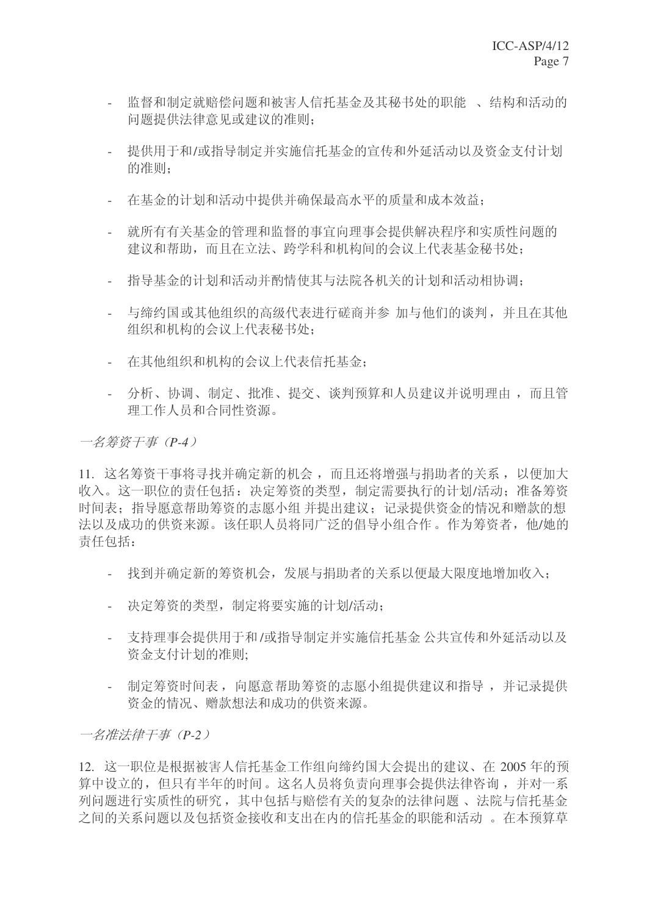- 监督和制定就赔偿问题和被害人信托基金及其秘书处的职能、结构和活动的 问题提供法律意见或建议的准则:
- 提供用于和/或指导制定并实施信托基金的宣传和外延活动以及资金支付计划 的准则:
- 在基金的计划和活动中提供并确保最高水平的质量和成本效益:
- 就所有有关基金的管理和监督的事宜向理事会提供解决程序和实质性问题的 建议和帮助,而且在立法、跨学科和机构间的会议上代表基金秘书处:
- 指导基金的计划和活动并酌情使基与法院各机关的计划和活动相协调:
- 与缔约国或其他组织的高级代表进行磋商并参 加与他们的谈判, 并且在其他 组织和机构的会议上代表秘书处:
- 在其他组织和机构的会议上代表信托基金:
- 分析、协调、制定、批准、提交、谈判预算和人员建议并说明理由,而且管 理工作人员和合同性资源。

一名筹资于事 (P-4)

11. 这名筹资干事将寻找并确定新的机会,而且还将增强与捐助者的关系,以便加大 收入。这一职位的责任包括: 决定筹资的类型, 制定需要执行的计划/活动: 准备筹资 时间表: 指导愿意帮助筹资的志愿小组 并提出建议: 记录提供资金的情况和赠款的想 法以及成功的供资来源。该任职人员将同广泛的倡导小组合作。作为筹资者, 他/她的 责任包括:

- 找到并确定新的筹资机会, 发展与捐助者的关系以便最大限度地增加收入;
- 决定筹资的类型, 制定将要实施的计划/活动:
- 支持理事会提供用于和/或指导制定并实施信托基金公共宣传和外延活动以及 资金支付计划的准则;
- 制定筹资时间表, 向愿意帮助筹资的志愿小组提供建议和指导, 并记录提供 资金的情况、赠款想法和成功的供资来源。

一名准法律干事 (P-2)

12. 这一职位是根据被害人信托基金工作组向缔约国大会提出的建议、在 2005 年的预 算中设立的, 但只有半年的时间。这名人员将负责向理事会提供法律咨询, 并对一系 列问题进行实质性的研究, 其中包括与赔偿有关的复杂的法律问题、法院与信托基金 之间的关系问题以及包括资金接收和支出在内的信托基金的职能和活动。 在本预算草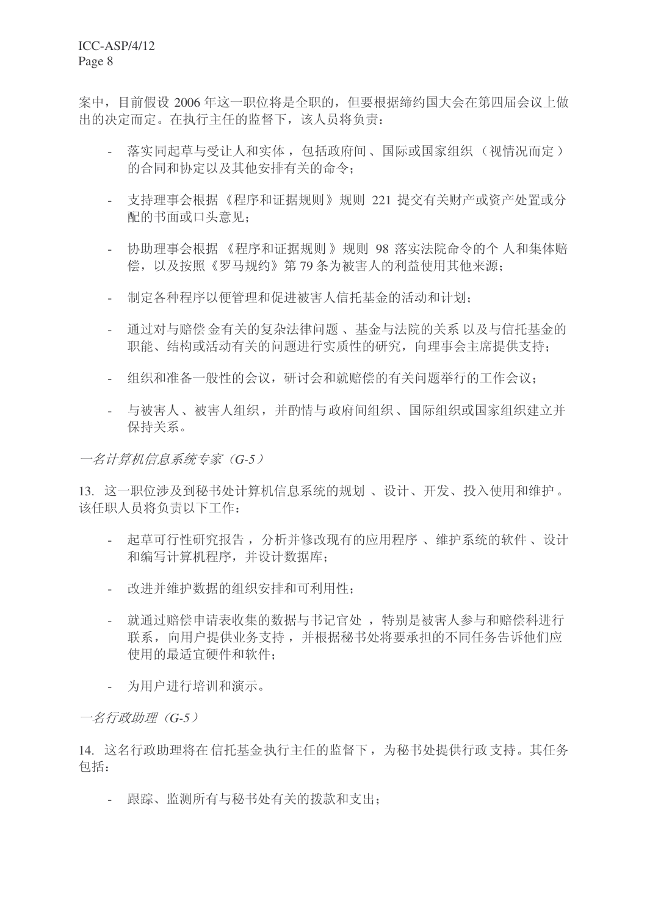案中,目前假设 2006年这一职位将是全职的, 但要根据缔约国大会在第四届会议上做 出的决定而定。在执行主任的监督下, 该人员将负责:

- 落实同起草与受让人和实体, 包括政府间、国际或国家组织(视情况而定) 的合同和协定以及其他安排有关的命令:
- 支持理事会根据《程序和证据规则》规则 221 提交有关财产或资产处置或分 配的书面或口头意见:
- 协助理事会根据《程序和证据规则》规则 98 落实法院命令的个 人和集体赔 偿,以及按照《罗马规约》第79条为被害人的利益使用其他来源:
- 制定各种程序以便管理和促进被害人信托基金的活动和计划;
- 通过对与赔偿 金有关的复杂法律问题、基金与法院的关系 以及与信托基金的 职能、结构或活动有关的问题进行实质性的研究,向理事会主席提供支持;
- 组织和准备一般性的会议,研讨会和就赔偿的有关问题举行的工作会议:
- 与被害人、被害人组织,并酌情与政府间组织、国际组织或国家组织建立并 保持关系。

一名计算机信息系统专家 (G-5)

13. 这一职位涉及到秘书处计算机信息系统的规划、设计、开发、投入使用和维护。 该任职人员将负责以下工作:

- 起草可行性研究报告, 分析并修改现有的应用程序、维护系统的软件、设计 和编写计算机程序, 并设计数据库:
- 改进并维护数据的组织安排和可利用性;
- 就通过赔偿申请表收集的数据与书记官处, 特别是被害人参与和赔偿科进行 联系, 向用户提供业务支持, 并根据秘书处将要承担的不同任务告诉他们应 使用的最适官硬件和软件:
- 为用户讲行培训和演示。

一名行政助理 (G-5)

14. 这名行政助理将在信托基金执行主任的监督下, 为秘书处提供行政支持。其任务 包括:

- 跟踪、监测所有与秘书处有关的拨款和支出: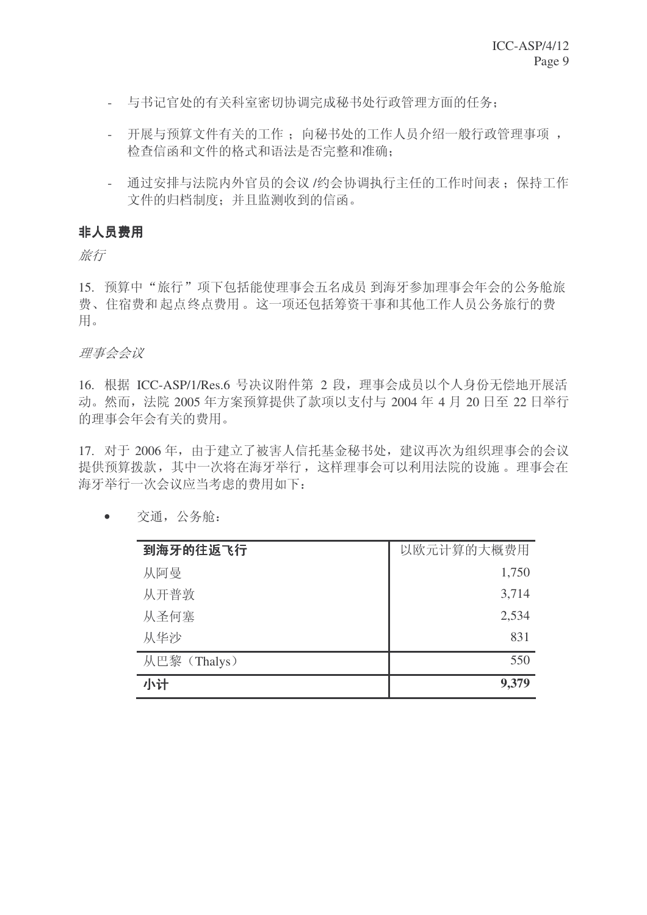- 与书记官处的有关科室密切协调完成秘书处行政管理方面的任务:
- 开展与预算文件有关的工作; 向秘书处的工作人员介绍一般行政管理事项, 拾杳信函和文件的格式和语法是否完整和准确:
- 通过安排与法院内外官员的会议 /约会协调执行主任的工作时间表: 保持工作 文件的归档制度: 并且监测收到的信函。

# 非人员费用

旅行

15. 预算中"旅行"项下包括能使理事会五名成员到海牙参加理事会年会的公务舱旅 费、住宿费和起点终点费用。这一项还包括筹资于事和其他工作人员公务旅行的费 用。

理事会会议

16. 根据 ICC-ASP/1/Res.6 号决议附件第 2 段, 理事会成员以个人身份无偿地开展活 动。然而, 法院 2005 年方案预算提供了款项以支付与 2004 年 4 月 20 日至 22 日举行 的理事会年会有关的费用。

17. 对于2006年, 由于建立了被害人信托基金秘书处, 建议再次为组织理事会的会议 提供预算拨款, 其中一次将在海牙举行, 这样理事会可以利用法院的设施。理事会在 海牙举行一次会议应当考虑的费用如下:

| 到海牙的往返飞行    | 以欧元计算的大概费用 |
|-------------|------------|
| 从阿曼         | 1,750      |
| 从开普敦        | 3,714      |
| 从圣何塞        | 2,534      |
| 从华沙         | 831        |
| 从巴黎(Thalys) | 550        |
| 小计          | 9,379      |

• 交通, 公务舱: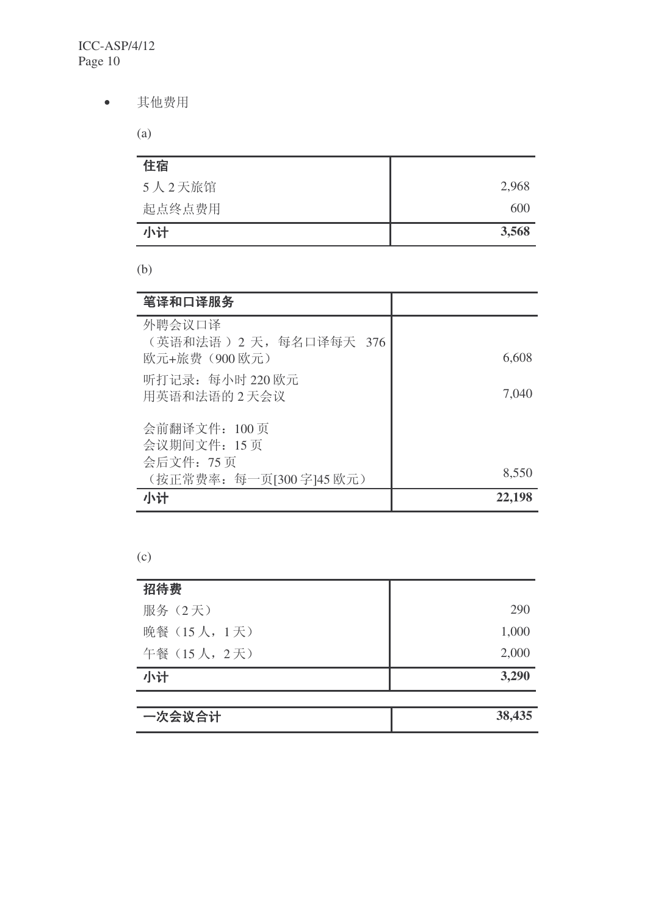ICC-ASP/4/12 Page 10

• 其他费用

(a)

| 住宿     |       |
|--------|-------|
| 5人2天旅馆 | 2,968 |
| 起点终点费用 | 600   |
| 小计     | 3,568 |

(b)

| 笔译和口译服务                                            |        |
|----------------------------------------------------|--------|
| 外聘会议口译<br>(英语和法语) 2 天, 每名口译每天 376<br>欧元+旅费(900 欧元) | 6,608  |
| 听打记录: 每小时 220 欧元<br>用英语和法语的 2 天会议                  | 7,040  |
| 会前翻译文件: 100页<br>会议期间文件: 15页<br>会后文件: 75页           |        |
| (按正常费率: 每一页[300字]45 欧元)                            | 8,550  |
| 小计                                                 | 22,198 |

(c)

| 招待费          |        |
|--------------|--------|
| 服务 (2天)      | 290    |
| 晚餐 (15人, 1天) | 1,000  |
| 午餐 (15人, 2天) | 2,000  |
| 小计           | 3,290  |
|              |        |
| 一次会议合计       | 38,435 |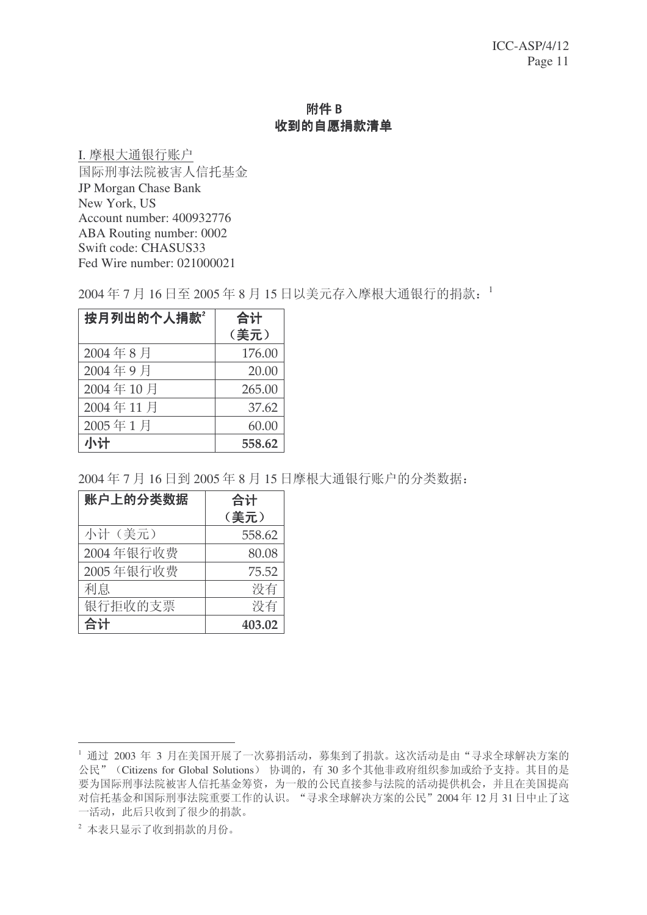# 附件 B 收到的自愿捐款清单

I. 摩根大通银行账户 国际刑事法院被害人信托基金 JP Morgan Chase Bank New York, US Account number: 400932776 ABA Routing number: 0002 Swift code: CHASUS33 Fed Wire number: 021000021

2004年7月16日至2005年8月15日以美元存入摩根大通银行的捐款: 1

| 按月列出的个人捐款 | 合计     |
|-----------|--------|
|           | (美元)   |
| 2004年8月   | 176.00 |
| 2004年9月   | 20.00  |
| 2004年10月  | 265.00 |
| 2004年11月  | 37.62  |
| 2005年1月   | 60.00  |
| 小计        | 558.62 |

2004年7月16日到2005年8月15日摩根大通银行账户的分类数据:

| 账户上的分类数据  | 合计     |
|-----------|--------|
|           | (美元)   |
| 小计(美元)    | 558.62 |
| 2004年银行收费 | 80.08  |
| 2005年银行收费 | 75.52  |
| 利息        | 没有     |
| 银行拒收的支票   | 没有     |
| 合计        | 403.02 |

<sup>1</sup> 通过 2003 年 3 月在美国开展了一次募捐活动, 募集到了捐款。这次活动是由"寻求全球解决方案的 公民" (Citizens for Global Solutions) 协调的, 有 30 多个其他非政府组织参加或给予支持。其目的是 要为国际刑事法院被害人信托基金筹资,为一般的公民直接参与法院的活动提供机会,并且在美国提高 对信托基金和国际刑事法院重要工作的认识。"寻求全球解决方案的公民"2004年12月31日中止了这 一活动, 此后只收到了很少的捐款。

<sup>2</sup> 本表只显示了收到捐款的月份。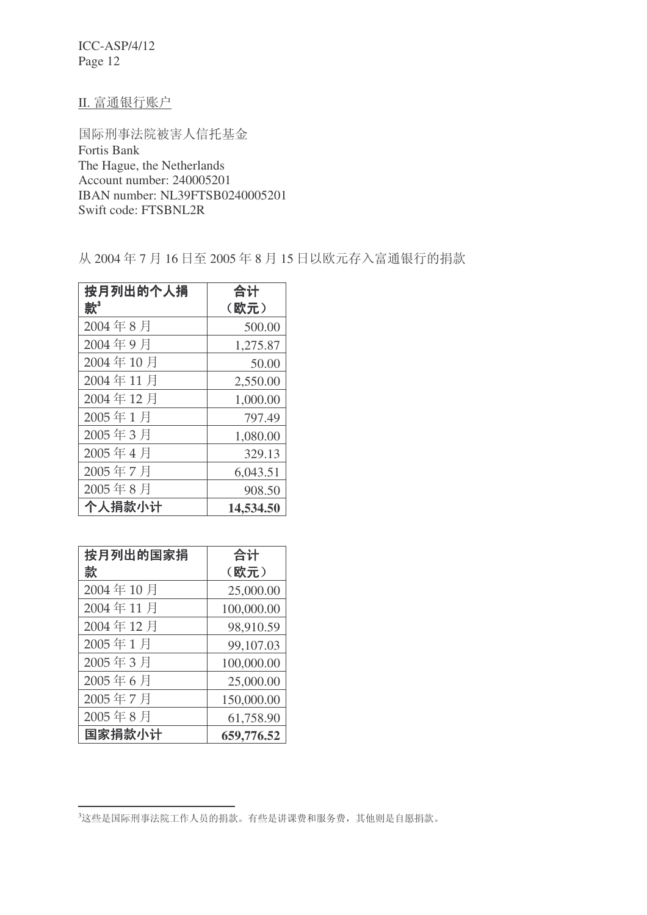ICC-ASP/4/12 Page 12

## II. 富通银行账户

国际刑事法院被害人信托基金 Fortis Bank The Hague, the Netherlands Account number: 240005201 IBAN number: NL39FTSB0240005201 Swift code: FTSBNL2R

从 2004年7月16日至 2005年8月15日以欧元存入富通银行的捐款

| 按月列出的个人捐 | 合计        |
|----------|-----------|
| 款        | (欧元)      |
| 2004年8月  | 500.00    |
| 2004年9月  | 1,275.87  |
| 2004年10月 | 50.00     |
| 2004年11月 | 2,550.00  |
| 2004年12月 | 1,000.00  |
| 2005年1月  | 797.49    |
| 2005年3月  | 1,080.00  |
| 2005年4月  | 329.13    |
| 2005年7月  | 6,043.51  |
| 2005年8月  | 908.50    |
| 个人捐款小计   | 14,534.50 |

| 按月列出的国家捐 | 合计         |
|----------|------------|
| 款        | (欧元)       |
| 2004年10月 | 25,000.00  |
| 2004年11月 | 100,000.00 |
| 2004年12月 | 98,910.59  |
| 2005年1月  | 99,107.03  |
| 2005年3月  | 100,000.00 |
| 2005年6月  | 25,000.00  |
| 2005年7月  | 150,000.00 |
| 2005年8月  | 61,758.90  |
| 国家捐款小计   | 659,776.52 |

<sup>3</sup>这些是国际刑事法院工作人员的捐款。有些是讲课费和服务费, 其他则是自愿捐款。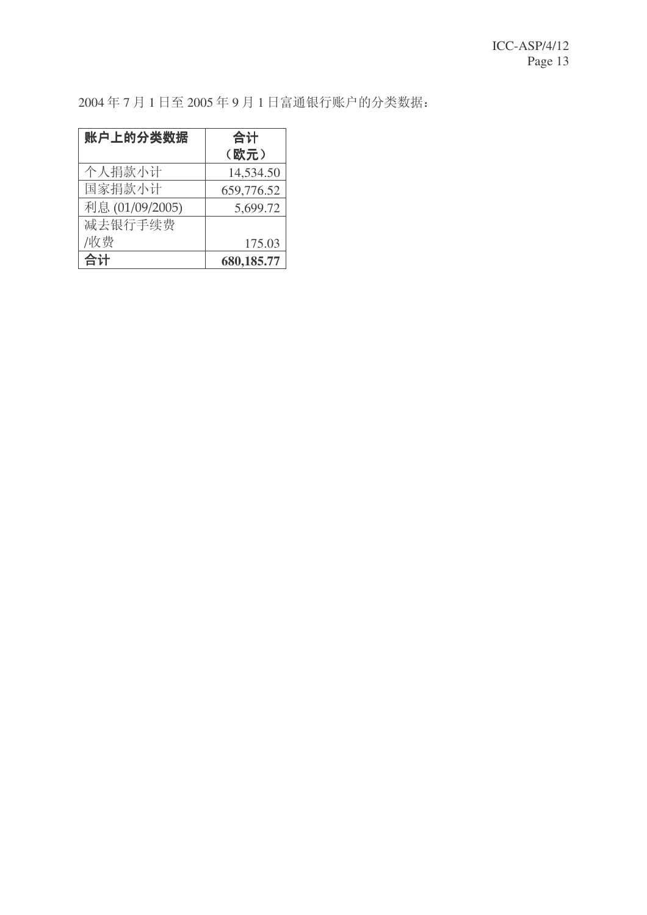2004年7月1日至2005年9月1日富通银行账户的分类数据:

| 账户上的分类数据        | 合计         |
|-----------------|------------|
|                 | (欧元)       |
| 个人捐款小计          | 14,534.50  |
| 国家捐款小计          | 659,776.52 |
| 利息 (01/09/2005) | 5,699.72   |
| 减去银行手续费         |            |
| /收费             | 175.03     |
| 合计              | 680,185.77 |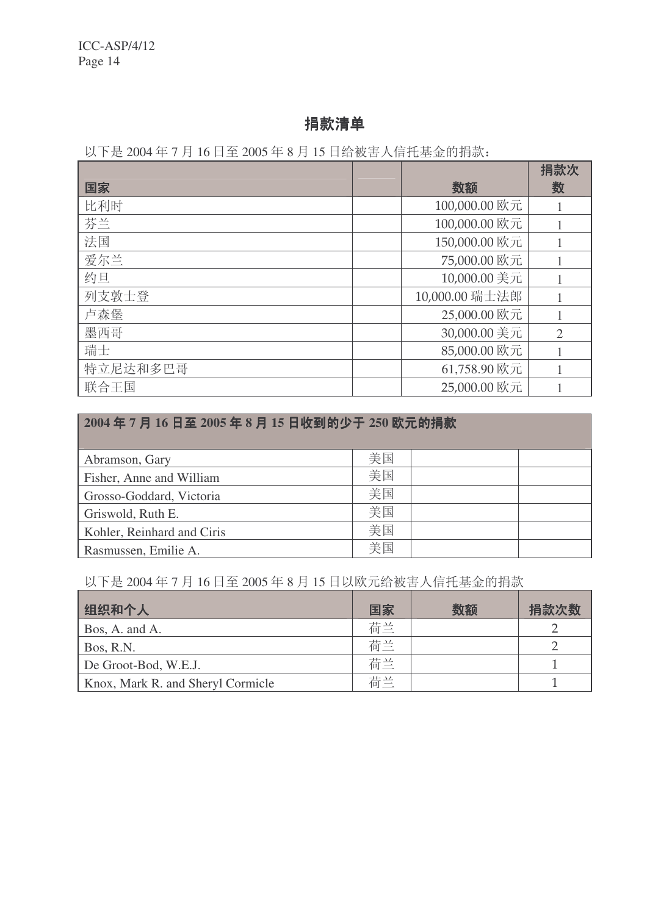# 捐款清单

以下是 2004年7月16日至 2005年8月15日给被害人信托基金的捐款:

| 国家       | 数额             | 捐款次<br>数       |
|----------|----------------|----------------|
| 比利时      | 100,000.00 欧元  |                |
| 芬兰       | 100,000.00 欧元  |                |
| 法国       | 150,000.00 欧元  |                |
| 爱尔兰      | 75,000.00 欧元   |                |
| 约旦       | 10,000.00 美元   |                |
| 列支敦士登    | 10,000.00 瑞士法郎 |                |
| 卢森堡      | 25,000.00 欧元   |                |
| 墨西哥      | 30,000.00 美元   | $\overline{2}$ |
| 瑞士       | 85,000.00 欧元   |                |
| 特立尼达和多巴哥 | 61,758.90 欧元   |                |
| 联合王国     | 25,000.00 欧元   |                |

# 2004年7月16日至2005年8月15日收到的少于250 欧元的捐款

| Abramson, Gary             | 美国 |  |
|----------------------------|----|--|
| Fisher, Anne and William   | 美国 |  |
| Grosso-Goddard, Victoria   | 美国 |  |
| Griswold, Ruth E.          | 美国 |  |
| Kohler, Reinhard and Ciris | 美国 |  |
| Rasmussen, Emilie A.       | 美国 |  |

# 以下是 2004年7月16日至 2005年8月15日以欧元给被害人信托基金的捐款

| 组织和个人                             | 国家 | 数额 | 捐款次数 |
|-----------------------------------|----|----|------|
| Bos, A. and A.                    | 荷兰 |    |      |
| Bos, R.N.                         | 荷兰 |    |      |
| De Groot-Bod, W.E.J.              | 荷兰 |    |      |
| Knox, Mark R. and Sheryl Cormicle | 荷兰 |    |      |